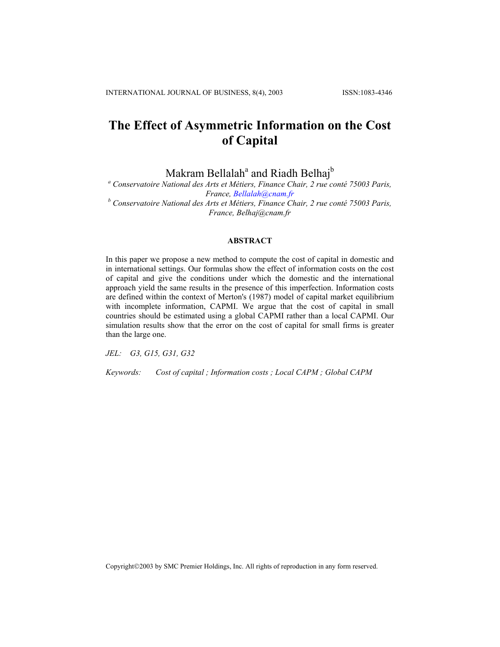# **The Effect of Asymmetric Information on the Cost of Capital**

Makram Bellalah<sup>a</sup> and Riadh Belhaj<sup>b</sup>

*a Conservatoire National des Arts et Métiers, Finance Chair, 2 rue conté 75003 Paris, France, [Bellalah@cnam.fr](mailto:Bellalah@cnam.fr) <sup>b</sup> Conservatoire National des Arts et Métiers, Finance Chair, 2 rue conté 75003 Paris, France, Belhaj@cnam.fr*

### **ABSTRACT**

In this paper we propose a new method to compute the cost of capital in domestic and in international settings. Our formulas show the effect of information costs on the cost of capital and give the conditions under which the domestic and the international approach yield the same results in the presence of this imperfection. Information costs are defined within the context of Merton's (1987) model of capital market equilibrium with incomplete information, CAPMI. We argue that the cost of capital in small countries should be estimated using a global CAPMI rather than a local CAPMI. Our simulation results show that the error on the cost of capital for small firms is greater than the large one.

*JEL: G3, G15, G31, G32* 

*Keywords: Cost of capital ; Information costs ; Local CAPM ; Global CAPM*

Copyright©2003 by SMC Premier Holdings, Inc. All rights of reproduction in any form reserved.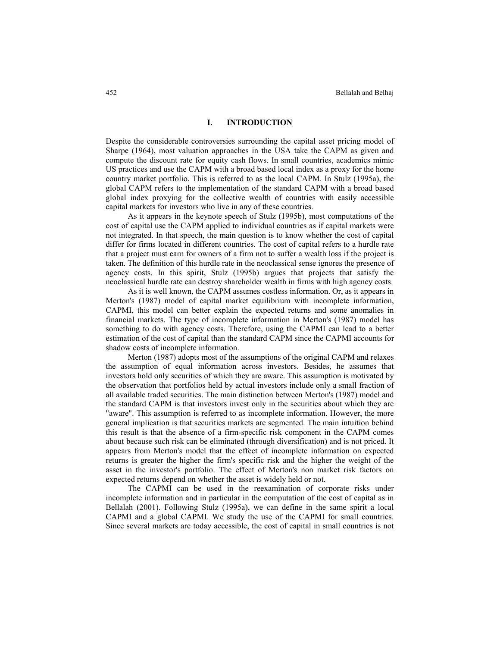## **I. INTRODUCTION**

Despite the considerable controversies surrounding the capital asset pricing model of Sharpe (1964), most valuation approaches in the USA take the CAPM as given and compute the discount rate for equity cash flows. In small countries, academics mimic US practices and use the CAPM with a broad based local index as a proxy for the home country market portfolio. This is referred to as the local CAPM. In Stulz (1995a), the global CAPM refers to the implementation of the standard CAPM with a broad based global index proxying for the collective wealth of countries with easily accessible capital markets for investors who live in any of these countries.

As it appears in the keynote speech of Stulz (1995b), most computations of the cost of capital use the CAPM applied to individual countries as if capital markets were not integrated. In that speech, the main question is to know whether the cost of capital differ for firms located in different countries. The cost of capital refers to a hurdle rate that a project must earn for owners of a firm not to suffer a wealth loss if the project is taken. The definition of this hurdle rate in the neoclassical sense ignores the presence of agency costs. In this spirit, Stulz (1995b) argues that projects that satisfy the neoclassical hurdle rate can destroy shareholder wealth in firms with high agency costs.

As it is well known, the CAPM assumes costless information. Or, as it appears in Merton's (1987) model of capital market equilibrium with incomplete information, CAPMI, this model can better explain the expected returns and some anomalies in financial markets. The type of incomplete information in Merton's (1987) model has something to do with agency costs. Therefore, using the CAPMI can lead to a better estimation of the cost of capital than the standard CAPM since the CAPMI accounts for shadow costs of incomplete information.

Merton (1987) adopts most of the assumptions of the original CAPM and relaxes the assumption of equal information across investors. Besides, he assumes that investors hold only securities of which they are aware. This assumption is motivated by the observation that portfolios held by actual investors include only a small fraction of all available traded securities. The main distinction between Merton's (1987) model and the standard CAPM is that investors invest only in the securities about which they are "aware". This assumption is referred to as incomplete information. However, the more general implication is that securities markets are segmented. The main intuition behind this result is that the absence of a firm-specific risk component in the CAPM comes about because such risk can be eliminated (through diversification) and is not priced. It appears from Merton's model that the effect of incomplete information on expected returns is greater the higher the firm's specific risk and the higher the weight of the asset in the investor's portfolio. The effect of Merton's non market risk factors on expected returns depend on whether the asset is widely held or not.

The CAPMI can be used in the reexamination of corporate risks under incomplete information and in particular in the computation of the cost of capital as in Bellalah (2001). Following Stulz (1995a), we can define in the same spirit a local CAPMI and a global CAPMI. We study the use of the CAPMI for small countries. Since several markets are today accessible, the cost of capital in small countries is not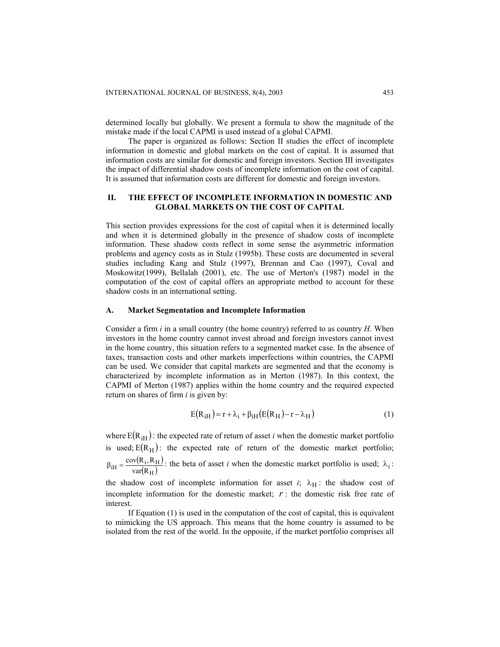determined locally but globally. We present a formula to show the magnitude of the mistake made if the local CAPMI is used instead of a global CAPMI.

The paper is organized as follows: Section II studies the effect of incomplete information in domestic and global markets on the cost of capital. It is assumed that information costs are similar for domestic and foreign investors. Section III investigates the impact of differential shadow costs of incomplete information on the cost of capital. It is assumed that information costs are different for domestic and foreign investors.

# **II. THE EFFECT OF INCOMPLETE INFORMATION IN DOMESTIC AND GLOBAL MARKETS ON THE COST OF CAPITAL**

This section provides expressions for the cost of capital when it is determined locally and when it is determined globally in the presence of shadow costs of incomplete information. These shadow costs reflect in some sense the asymmetric information problems and agency costs as in Stulz (1995b). These costs are documented in several studies including Kang and Stulz (1997), Brennan and Cao (1997), Coval and Moskowitz(1999), Bellalah (2001), etc. The use of Merton's (1987) model in the computation of the cost of capital offers an appropriate method to account for these shadow costs in an international setting.

## **A. Market Segmentation and Incomplete Information**

Consider a firm *i* in a small country (the home country) referred to as country *H*. When investors in the home country cannot invest abroad and foreign investors cannot invest in the home country, this situation refers to a segmented market case. In the absence of taxes, transaction costs and other markets imperfections within countries, the CAPMI can be used. We consider that capital markets are segmented and that the economy is characterized by incomplete information as in Merton (1987). In this context, the CAPMI of Merton (1987) applies within the home country and the required expected return on shares of firm *i* is given by:

$$
E(RIH) = r + \lambda_i + \beta_{iH}(E(RH) - r - \lambda_{H})
$$
\n(1)

where  $E(R<sub>iH</sub>)$ : the expected rate of return of asset *i* when the domestic market portfolio is used;  $E(R_H)$ : the expected rate of return of the domestic market portfolio; ( ( ) H ) i  $\beta_{iH} = \frac{\text{cov}(R_i, R_H)}{\text{var}(R_H)}$ : the beta of asset *i* when the domestic market portfolio is used;  $\lambda_i$ :

the shadow cost of incomplete information for asset  $i$ ;  $\lambda_H$ : the shadow cost of incomplete information for the domestic market;  $r$ : the domestic risk free rate of interest.

If Equation (1) is used in the computation of the cost of capital, this is equivalent to mimicking the US approach. This means that the home country is assumed to be isolated from the rest of the world. In the opposite, if the market portfolio comprises all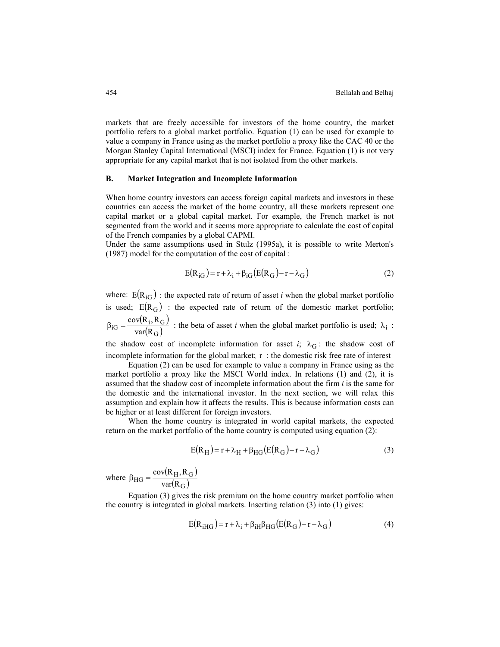markets that are freely accessible for investors of the home country, the market portfolio refers to a global market portfolio. Equation (1) can be used for example to value a company in France using as the market portfolio a proxy like the CAC 40 or the Morgan Stanley Capital International (MSCI) index for France. Equation (1) is not very appropriate for any capital market that is not isolated from the other markets.

## **B. Market Integration and Incomplete Information**

When home country investors can access foreign capital markets and investors in these countries can access the market of the home country, all these markets represent one capital market or a global capital market. For example, the French market is not segmented from the world and it seems more appropriate to calculate the cost of capital of the French companies by a global CAPMI.

Under the same assumptions used in Stulz (1995a), it is possible to write Merton's (1987) model for the computation of the cost of capital :

$$
E(R_{iG}) = r + \lambda_i + \beta_{iG} (E(R_G) - r - \lambda_G)
$$
\n(2)

where:  $E(R_{iG})$  : the expected rate of return of asset *i* when the global market portfolio is used;  $E(R_G)$  : the expected rate of return of the domestic market portfolio; (  $(R_i, R_G)$  $_{\rm G})$ i  $\beta_{\text{iG}} = \frac{\text{cov}(R_{\text{i}}, R_{\text{G}})}{\text{var}(R_{\text{G}})}$ : the beta of asset *i* when the global market portfolio is used;  $\lambda_i$ :

the shadow cost of incomplete information for asset  $i$ ;  $\lambda$ <sup>G</sup> : the shadow cost of incomplete information for the global market; r : the domestic risk free rate of interest

Equation (2) can be used for example to value a company in France using as the market portfolio a proxy like the MSCI World index. In relations (1) and (2), it is assumed that the shadow cost of incomplete information about the firm *i* is the same for the domestic and the international investor. In the next section, we will relax this assumption and explain how it affects the results. This is because information costs can be higher or at least different for foreign investors.

When the home country is integrated in world capital markets, the expected return on the market portfolio of the home country is computed using equation (2):

$$
E(R_H) = r + \lambda_H + \beta_{HG} (E(R_G) - r - \lambda_G)
$$
\n(3)

where  $\beta_{HG} = \frac{\text{cov}(R_H, R_G)}{(\beta)^2}$  $({\rm R_G})$  $_{HG} = \frac{cov(K_H, K_G)}{var(R_G)}$  $\beta_{\rm HG} = \frac{\rm cov(R_H, R)}{\sqrt{2}}$ 

Equation (3) gives the risk premium on the home country market portfolio when the country is integrated in global markets. Inserting relation (3) into (1) gives:

$$
E(RiHG) = r + \lambda_i + \beta_{iH}\beta_{HG}(E(R_G) - r - \lambda_G)
$$
\n(4)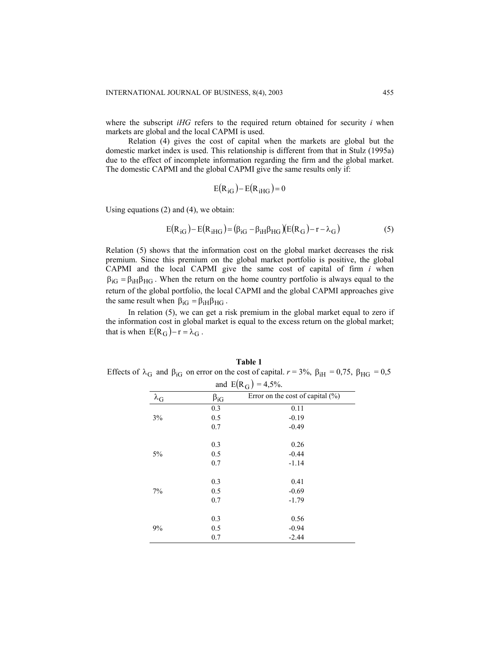where the subscript *iHG* refers to the required return obtained for security *i* when markets are global and the local CAPMI is used.

Relation (4) gives the cost of capital when the markets are global but the domestic market index is used. This relationship is different from that in Stulz (1995a) due to the effect of incomplete information regarding the firm and the global market. The domestic CAPMI and the global CAPMI give the same results only if:

$$
E(R_{iG}) - E(R_{iHG}) = 0
$$

Using equations (2) and (4), we obtain:

$$
E(R_{iG}) - E(R_{iHG}) = (\beta_{iG} - \beta_{iH}\beta_{HG})(E(R_G) - r - \lambda_G)
$$
\n<sup>(5)</sup>

Relation (5) shows that the information cost on the global market decreases the risk premium. Since this premium on the global market portfolio is positive, the global CAPMI and the local CAPMI give the same cost of capital of firm *i* when  $\beta_{IG} = \beta_{IH} \beta_{HG}$ . When the return on the home country portfolio is always equal to the return of the global portfolio, the local CAPMI and the global CAPMI approaches give the same result when  $\beta_{\text{iG}} = \beta_{\text{iH}} \beta_{\text{HG}}$ .

In relation (5), we can get a risk premium in the global market equal to zero if the information cost in global market is equal to the excess return on the global market; that is when  $E(R_G) - r = \lambda_G$ .

| and $E(R_G) = 4.5\%$ . |              |                                      |
|------------------------|--------------|--------------------------------------|
| $\lambda_{\rm G}$      | $\beta_{iG}$ | Error on the cost of capital $(\% )$ |
| 3%                     | 0.3          | 0.11                                 |
|                        | 0.5          | $-0.19$                              |
|                        | 0.7          | $-0.49$                              |
| $5\%$                  | 0.3          | 0.26                                 |
|                        | 0.5          | $-0.44$                              |
|                        | 0.7          | $-1.14$                              |
| 7%                     | 0.3          | 0.41                                 |
|                        | 0.5          | $-0.69$                              |
|                        | 0.7          | $-1.79$                              |
| 9%                     | 0.3          | 0.56                                 |
|                        | 0.5          | $-0.94$                              |
|                        | 0.7          | $-2.44$                              |

**Table 1** Effects of  $\lambda_G$  and  $\beta_{IG}$  on error on the cost of capital.  $r = 3\%$ ,  $\beta_{IH} = 0.75$ ,  $\beta_{HG} = 0.5$  $\beta_{HG}$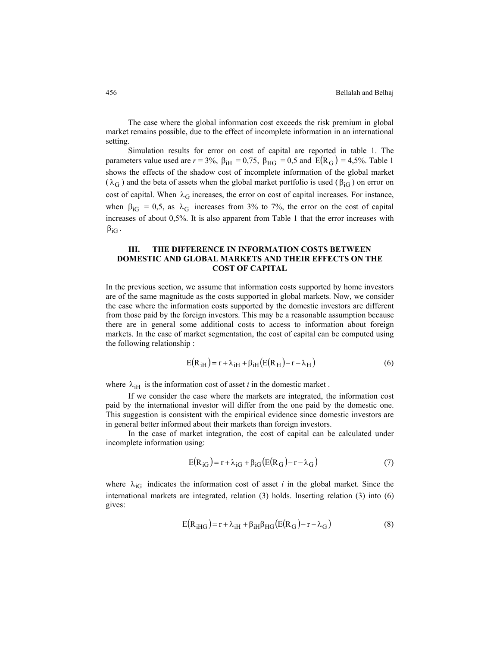The case where the global information cost exceeds the risk premium in global market remains possible, due to the effect of incomplete information in an international setting.

Simulation results for error on cost of capital are reported in table 1. The parameters value used are  $r = 3\%$ ,  $\beta_{\text{H}} = 0.75$ ,  $\beta_{\text{HG}} = 0.5$  and  $E(R_G) = 4.5\%$ . Table 1 shows the effects of the shadow cost of incomplete information of the global market ( $\lambda$ <sup>G</sup>) and the beta of assets when the global market portfolio is used ( $\beta$ <sub>iG</sub>) on error on cost of capital. When  $\lambda_G$  increases, the error on cost of capital increases. For instance, when  $\beta_{\text{iG}} = 0.5$ , as  $\lambda_{\text{G}}$  increases from 3% to 7%, the error on the cost of capital increases of about 0,5%. It is also apparent from Table 1 that the error increases with  $\beta_{\text{iG}}$  .

# **III. THE DIFFERENCE IN INFORMATION COSTS BETWEEN DOMESTIC AND GLOBAL MARKETS AND THEIR EFFECTS ON THE COST OF CAPITAL**

In the previous section, we assume that information costs supported by home investors are of the same magnitude as the costs supported in global markets. Now, we consider the case where the information costs supported by the domestic investors are different from those paid by the foreign investors. This may be a reasonable assumption because there are in general some additional costs to access to information about foreign markets. In the case of market segmentation, the cost of capital can be computed using the following relationship :

$$
E(R1H) = r + \lambda_{1H} + \beta_{1H}(E(RH) - r - \lambda_{H})
$$
\n(6)

where  $\lambda_{iH}$  is the information cost of asset *i* in the domestic market.

If we consider the case where the markets are integrated, the information cost paid by the international investor will differ from the one paid by the domestic one. This suggestion is consistent with the empirical evidence since domestic investors are in general better informed about their markets than foreign investors.

In the case of market integration, the cost of capital can be calculated under incomplete information using:

$$
E(R_{IG}) = r + \lambda_{IG} + \beta_{IG}(E(R_G) - r - \lambda_G)
$$
\n<sup>(7)</sup>

where  $\lambda_{iG}$  indicates the information cost of asset *i* in the global market. Since the international markets are integrated, relation (3) holds. Inserting relation (3) into (6) gives:

$$
E(RiHG) = r + \lambda_{iH} + \beta_{iH}\beta_{HG}(E(RG) - r - \lambda_{G})
$$
\n(8)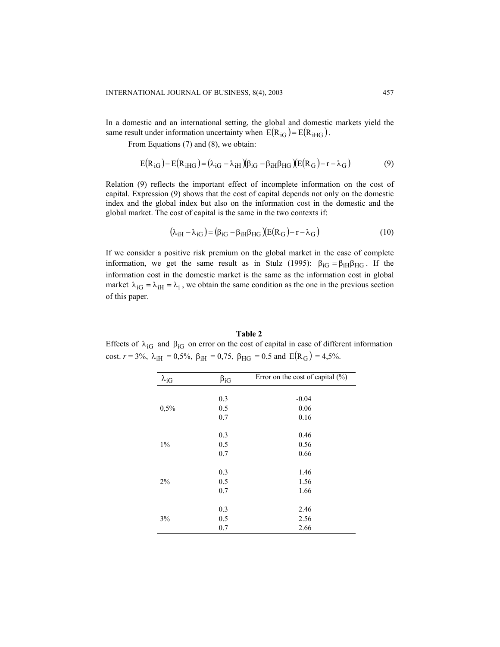In a domestic and an international setting, the global and domestic markets yield the same result under information uncertainty when  $E(R_{iG}) = E(R_{iHG})$ .

From Equations (7) and (8), we obtain:

$$
E(R_{IG}) - E(R_{iHG}) = (\lambda_{iG} - \lambda_{iH})(\beta_{iG} - \beta_{iH}\beta_{HG})(E(R_G) - r - \lambda_G)
$$
\n(9)

Relation (9) reflects the important effect of incomplete information on the cost of capital. Expression (9) shows that the cost of capital depends not only on the domestic index and the global index but also on the information cost in the domestic and the global market. The cost of capital is the same in the two contexts if:

$$
(\lambda_{\text{iH}} - \lambda_{\text{iG}}) = (\beta_{\text{iG}} - \beta_{\text{iH}}\beta_{\text{HG}})(E(R_{\text{G}}) - r - \lambda_{\text{G}})
$$
\n(10)

If we consider a positive risk premium on the global market in the case of complete information, we get the same result as in Stulz (1995):  $\beta_{\text{IG}} = \beta_{\text{IH}} \beta_{\text{HG}}$ . If the information cost in the domestic market is the same as the information cost in global market  $\lambda_{iG} = \lambda_{iH} = \lambda_i$ , we obtain the same condition as the one in the previous section of this paper.

**Table 2** Effects of  $\lambda_{iG}$  and  $\beta_{iG}$  on error on the cost of capital in case of different information cost.  $r = 3\%$ ,  $\lambda_{\text{iH}} = 0.5\%$ ,  $\beta_{\text{iH}} = 0.75$ ,  $\beta_{\text{HG}} = 0.5$  and  $E(R_G) = 4.5\%$ .

| $\lambda_{iG}$ | $\beta_{iG}$ | Error on the cost of capital $(\% )$ |
|----------------|--------------|--------------------------------------|
|                |              |                                      |
|                | 0.3          | $-0.04$                              |
| 0,5%           | 0.5          | 0.06                                 |
|                | 0.7          | 0.16                                 |
|                | 0.3          | 0.46                                 |
| $1\%$          | 0.5          | 0.56                                 |
|                | 0.7          | 0.66                                 |
| 2%             | 0.3          | 1.46                                 |
|                | 0.5          | 1.56                                 |
|                | 0.7          | 1.66                                 |
| 3%             | 0.3          | 2.46                                 |
|                | 0.5          | 2.56                                 |
|                | 0.7          | 2.66                                 |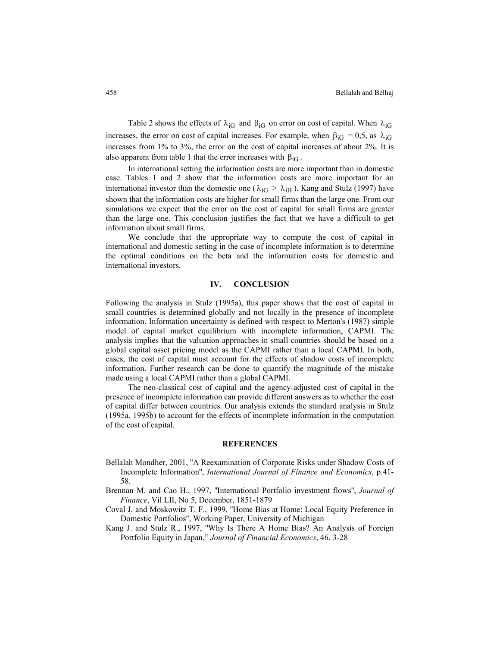Table 2 shows the effects of  $\lambda_{iG}$  and  $\beta_{iG}$  on error on cost of capital. When  $\lambda_{iG}$ increases, the error on cost of capital increases. For example, when  $\beta_{\text{IG}} = 0.5$ , as  $\lambda_{\text{IG}}$ increases from 1% to 3%, the error on the cost of capital increases of about 2%. It is also apparent from table 1 that the error increases with  $\beta_{iG}$ .

In international setting the information costs are more important than in domestic case. Tables 1 and 2 show that the information costs are more important for an international investor than the domestic one ( $\lambda_{\text{iG}} > \lambda_{\text{iH}}$ ). Kang and Stulz (1997) have shown that the information costs are higher for small firms than the large one. From our simulations we expect that the error on the cost of capital for small firms are greater than the large one. This conclusion justifies the fact that we have a difficult to get information about small firms.

We conclude that the appropriate way to compute the cost of capital in international and domestic setting in the case of incomplete information is to determine the optimal conditions on the beta and the information costs for domestic and international investors.

### **IV. CONCLUSION**

Following the analysis in Stulz (1995a), this paper shows that the cost of capital in small countries is determined globally and not locally in the presence of incomplete information. Information uncertainty is defined with respect to Merton's (1987) simple model of capital market equilibrium with incomplete information, CAPMI. The analysis implies that the valuation approaches in small countries should be based on a global capital asset pricing model as the CAPMI rather than a local CAPMI. In both, cases, the cost of capital must account for the effects of shadow costs of incomplete information. Further research can be done to quantify the magnitude of the mistake made using a local CAPMI rather than a global CAPMI.

The neo-classical cost of capital and the agency-adjusted cost of capital in the presence of incomplete information can provide different answers as to whether the cost of capital differ between countries. Our analysis extends the standard analysis in Stulz (1995a, 1995b) to account for the effects of incomplete information in the computation of the cost of capital.

#### **REFERENCES**

- Bellalah Mondher, 2001, ''A Reexamination of Corporate Risks under Shadow Costs of Incomplete Information'', *International Journal of Finance and Economics*, p.41- 58.
- Brennan M. and Cao H., 1997, ''International Portfolio investment flows'', *Journal of Finance*, Vil LII, No 5, December, 1851-1879
- Coval J. and Moskowitz T. F., 1999, ''Home Bias at Home: Local Equity Preference in Domestic Portfolios'', Working Paper, University of Michigan
- Kang J. and Stulz R., 1997, ''Why Is There A Home Bias? An Analysis of Foreign Portfolio Equity in Japan," *Journal of Financial Economics*, 46, 3-28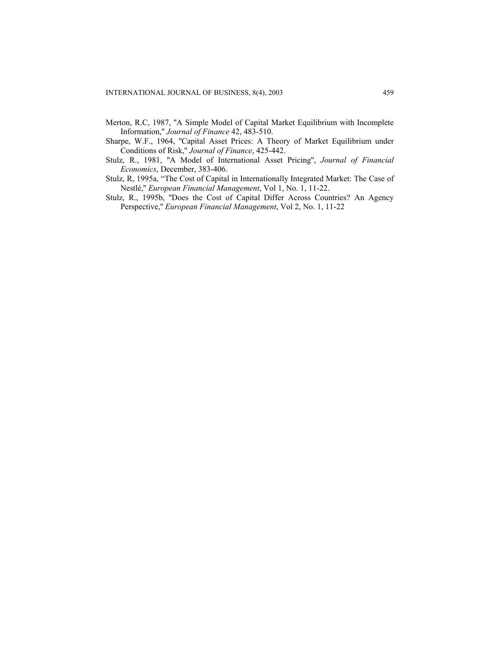- Merton, R.C, 1987, ''A Simple Model of Capital Market Equilibrium with Incomplete Information,'' *Journal of Finance* 42, 483-510.
- Sharpe, W.F., 1964, ''Capital Asset Prices: A Theory of Market Equilibrium under Conditions of Risk,'' *Journal of Finance*, 425-442.
- Stulz, R., 1981, ''A Model of International Asset Pricing'', *Journal of Financial Economics*, December, 383-406.
- Stulz, R, 1995a, "The Cost of Capital in Internationally Integrated Market: The Case of Nestlé,'' *European Financial Management*, Vol 1, No. 1, 11-22.
- Stulz, R., 1995b, ''Does the Cost of Capital Differ Across Countries? An Agency Perspective,'' *European Financial Management*, Vol 2, No. 1, 11-22